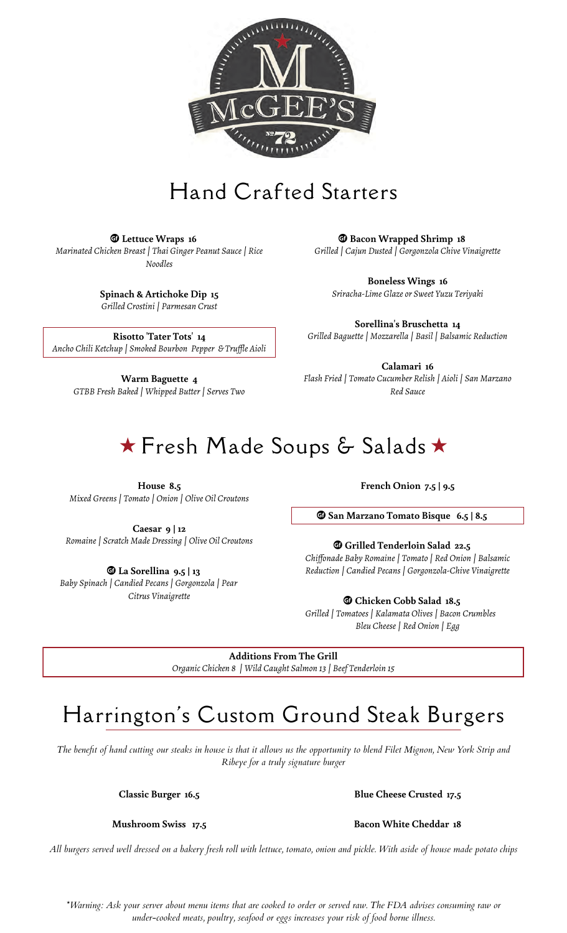

## Hand Crafted Starters

 $Q$  Lettuce Wraps 16 *Marinated Chicken Breast | Thai Ginger Peanut Sauce | Rice Noodles*

> **Spinach & Artichoke Dip 15** *Grilled Crostini | Parmesan Crust*

**Risotto 'Tater Tots' 14** *Ancho Chili Ketchup | Smoked Bourbon Pepper & Truffle Aioli*

**Warm Baguette 4** *GTBB Fresh Baked | Whipped Butter | Serves Two*

 $\Phi$  **Bacon Wrapped Shrimp 18** *Grilled | Cajun Dusted | Gorgonzola Chive Vinaigrette*

**Boneless Wings 16** *Sriracha-Lime Glaze or Sweet Yuzu Teriyaki*

**Sorellina's Bruschetta 14** *Grilled Baguette | Mozzarella | Basil | Balsamic Reduction*

**Calamari 16** *Flash Fried | Tomato Cucumber Relish | Aioli | San Marzano Red Sauce*

# ★ Fresh Made Soups & Salads ★

**House 8.5** *Mixed Greens | Tomato | Onion | Olive Oil Croutons*

**Caesar 9 | 12** *Romaine | Scratch Made Dressing | Olive Oil Croutons*

**13** La Sorellina 9.5 | 13 *Baby Spinach | Candied Pecans | Gorgonzola | Pear Citrus Vinaigrette*

**French Onion 7.5 | 9.5**

 $\Phi$  **San Marzano Tomato Bisque 6.5 | 8.5** 

u **Grilled Tenderloin Salad 22.5** *Chiffonade Baby Romaine | Tomato | Red Onion | Balsamic*

**The Cobb Salad 18.5** *Grilled | Tomatoes | Kalamata Olives | Bacon Crumbles Bleu Cheese | Red Onion | Egg*

**Additions From The Grill** *Organic Chicken 8 | Wild Caught Salmon 13 | Beef Tenderloin 15*

### Harrington's Custom Ground Steak Burgers

*The benefit of hand cutting our steaks in house is that it allows us the opportunity to blend Filet Mignon, New York Strip and Ribeye for a truly signature burger*

**Classic Burger 16.5 Blue Cheese Crusted 17.5**

*All burgers served well dressed on a bakery fresh roll with lettuce, tomato, onion and pickle. With aside of house made potato chips*

*\*Warning: Ask your server about menu items that are cooked to order or served raw. The FDA advises consuming raw or under-cooked meats, poultry, seafood or eggs increases your risk of food borne illness.*

*Reduction | Candied Pecans | Gorgonzola-Chive Vinaigrette*

**Mushroom Swiss 17.5 Bacon White Cheddar 18**